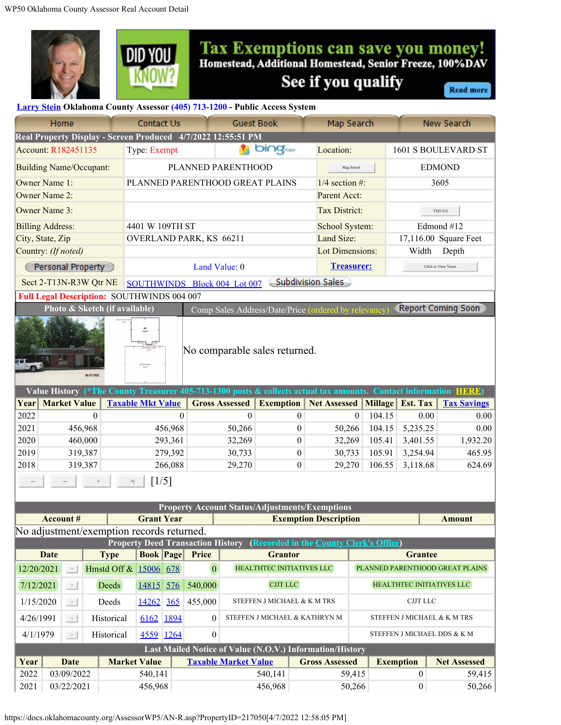



## **Tax Exemptions can save you money!**<br>Homestead, Additional Homestead, Senior Freeze, 100%DAV See if you qualify

**Read more** 

## **[Larry Stein](https://assessor.oklahomacounty.org/280/Meet-Larry) Oklahoma County Assessor (405) 713-1200 - Public Access System**

| Home                                                                                                             |                                                                                                                   |            |              |                                 | Contact Us<br><b>Guest Book</b>                                                                                                           |                               |                                  | Map Search       |                       | New Search                                               |                  |                                 |                       |               |  |
|------------------------------------------------------------------------------------------------------------------|-------------------------------------------------------------------------------------------------------------------|------------|--------------|---------------------------------|-------------------------------------------------------------------------------------------------------------------------------------------|-------------------------------|----------------------------------|------------------|-----------------------|----------------------------------------------------------|------------------|---------------------------------|-----------------------|---------------|--|
| Real Property Display - Screen Produced 4/7/2022 12:55:51 PM                                                     |                                                                                                                   |            |              |                                 |                                                                                                                                           |                               |                                  |                  |                       |                                                          |                  |                                 |                       |               |  |
| Account: R182451135                                                                                              |                                                                                                                   |            |              |                                 | <b>bi∩g</b> <sub>maps</sub><br>Type: Exempt                                                                                               |                               |                                  |                  |                       | Location:                                                |                  | 1601 S BOULEVARD ST             |                       |               |  |
| <b>Building Name/Occupant:</b>                                                                                   |                                                                                                                   |            |              | PLANNED PARENTHOOD              |                                                                                                                                           |                               |                                  |                  |                       |                                                          | Map Parcel       |                                 | <b>EDMOND</b>         |               |  |
| Owner Name 1:                                                                                                    |                                                                                                                   |            |              | PLANNED PARENTHOOD GREAT PLAINS |                                                                                                                                           |                               |                                  |                  |                       | $1/4$ section #:                                         |                  | 3605                            |                       |               |  |
| Owner Name 2:                                                                                                    |                                                                                                                   |            |              |                                 |                                                                                                                                           |                               |                                  |                  | Parent Acct:          |                                                          |                  |                                 |                       |               |  |
| Owner Name 3:                                                                                                    |                                                                                                                   |            |              |                                 |                                                                                                                                           |                               |                                  |                  |                       | <b>Tax District:</b>                                     |                  | <b>TXD 512</b>                  |                       |               |  |
| <b>Billing Address:</b>                                                                                          |                                                                                                                   |            |              | 4401 W 109TH ST                 |                                                                                                                                           |                               |                                  |                  |                       | School System:                                           |                  | Edmond #12                      |                       |               |  |
| City, State, Zip                                                                                                 |                                                                                                                   |            |              |                                 |                                                                                                                                           | OVERLAND PARK, KS 66211       |                                  |                  |                       | Land Size:                                               |                  |                                 | 17,116.00 Square Feet |               |  |
| Country: (If noted)                                                                                              |                                                                                                                   |            |              |                                 |                                                                                                                                           |                               |                                  |                  |                       | <b>Lot Dimensions:</b>                                   |                  | Width<br>Depth                  |                       |               |  |
| Personal Property                                                                                                |                                                                                                                   |            |              | Land Value: 0                   |                                                                                                                                           |                               |                                  |                  |                       | <b>Treasurer:</b>                                        |                  |                                 | Click to View Taxes   |               |  |
| Subdivision Sales<br>Sect 2-T13N-R3W Qtr NE<br>SOUTHWINDS Block 004 Lot 007                                      |                                                                                                                   |            |              |                                 |                                                                                                                                           |                               |                                  |                  |                       |                                                          |                  |                                 |                       |               |  |
| <b>Full Legal Description: SOUTHWINDS 004 007</b>                                                                |                                                                                                                   |            |              |                                 |                                                                                                                                           |                               |                                  |                  |                       |                                                          |                  |                                 |                       |               |  |
|                                                                                                                  | Photo & Sketch (if available)<br><b>Report Coming Soon</b><br>Comp Sales Address/Date/Price (ordered by relevancy |            |              |                                 |                                                                                                                                           |                               |                                  |                  |                       |                                                          |                  |                                 |                       |               |  |
|                                                                                                                  |                                                                                                                   |            |              |                                 |                                                                                                                                           |                               |                                  |                  |                       |                                                          |                  |                                 |                       |               |  |
|                                                                                                                  | GEA<br>3219 FT                                                                                                    |            |              |                                 |                                                                                                                                           |                               |                                  |                  |                       |                                                          |                  |                                 |                       |               |  |
|                                                                                                                  | No comparable sales returned.                                                                                     |            |              |                                 |                                                                                                                                           |                               |                                  |                  |                       |                                                          |                  |                                 |                       |               |  |
|                                                                                                                  |                                                                                                                   |            |              |                                 |                                                                                                                                           |                               |                                  |                  |                       |                                                          |                  |                                 |                       |               |  |
|                                                                                                                  |                                                                                                                   | 08/27/2020 |              |                                 |                                                                                                                                           |                               |                                  |                  |                       |                                                          |                  |                                 |                       |               |  |
| Value History (*The County Treasurer 405-713-1300 posts & collects actual tax amounts. Contact information HERE) |                                                                                                                   |            |              |                                 |                                                                                                                                           |                               |                                  |                  |                       |                                                          |                  |                                 |                       |               |  |
| Year                                                                                                             | <b>Market Value</b>                                                                                               |            |              | <b>Taxable Mkt Value</b>        |                                                                                                                                           | <b>Gross Assessed</b>         | <b>Exemption</b>                 |                  | <b>Net Assessed</b>   |                                                          |                  | Millage Est. Tax                | <b>Tax Savings</b>    |               |  |
| 2022                                                                                                             |                                                                                                                   | $\Omega$   |              | $\Omega$                        |                                                                                                                                           | $\theta$                      |                                  | $\boldsymbol{0}$ | $\theta$              |                                                          | 104.15           | 0.00                            | 0.00                  |               |  |
| 2021                                                                                                             | 456,968                                                                                                           |            |              | 456,968                         |                                                                                                                                           | 50,266                        |                                  |                  | 0                     | 50,266                                                   |                  | 104.15                          | 5,235.25              | 0.00          |  |
| 2020                                                                                                             | 460,000                                                                                                           |            |              | 293,361                         |                                                                                                                                           | 32,269                        |                                  |                  | 0                     | 32,269                                                   |                  | 105.41                          | 3,401.55              | 1,932.20      |  |
| 2019<br>319,387                                                                                                  |                                                                                                                   |            | 279,392      |                                 | 30,733                                                                                                                                    |                               |                                  | $\boldsymbol{0}$ | 30,733                |                                                          | 105.91           | 3,254.94                        | 465.95                |               |  |
| 2018<br>319,387                                                                                                  |                                                                                                                   |            |              | 266,088                         |                                                                                                                                           |                               | 29,270<br>0                      |                  | 29,270                |                                                          | 106.55           | 3,118.68                        | 624.69                |               |  |
| $\lceil 1/5 \rceil$<br>$>$                                                                                       |                                                                                                                   |            |              |                                 |                                                                                                                                           |                               |                                  |                  |                       |                                                          |                  |                                 |                       |               |  |
|                                                                                                                  |                                                                                                                   |            |              |                                 |                                                                                                                                           |                               |                                  |                  |                       |                                                          |                  |                                 |                       |               |  |
|                                                                                                                  |                                                                                                                   |            |              |                                 |                                                                                                                                           |                               |                                  |                  |                       | <b>Property Account Status/Adjustments/Exemptions</b>    |                  |                                 |                       |               |  |
| No adjustment/exemption records returned.                                                                        | <b>Account#</b>                                                                                                   |            |              | <b>Grant Year</b>               |                                                                                                                                           |                               |                                  |                  |                       | <b>Exemption Description</b>                             |                  |                                 |                       | <b>Amount</b> |  |
|                                                                                                                  |                                                                                                                   |            |              |                                 |                                                                                                                                           |                               |                                  |                  |                       |                                                          |                  |                                 |                       |               |  |
| <b>Date</b>                                                                                                      |                                                                                                                   |            | <b>Type</b>  |                                 | <b>Property Deed Transaction History</b><br>(Recorded in the County Clerk's Office)<br><b>Book Page</b><br><b>Price</b><br><b>Grantor</b> |                               |                                  |                  |                       |                                                          |                  |                                 | <b>Grantee</b>        |               |  |
| 12/20/2021<br>$\rightarrow$                                                                                      |                                                                                                                   |            |              | Hmstd Off & 15006 678           |                                                                                                                                           | $\boldsymbol{0}$              | <b>HEALTHTEC INITIATIVES LLC</b> |                  |                       |                                                          |                  | PLANNED PARENTHOOD GREAT PLAINS |                       |               |  |
| 7/12/2021<br>$\rightarrow$                                                                                       |                                                                                                                   |            | Deeds        | 14815 576                       |                                                                                                                                           | 540,000                       | <b>CJJT LLC</b>                  |                  |                       |                                                          |                  | HEALTHTEC INITIATIVES LLC       |                       |               |  |
| Deeds<br>1/15/2020<br>$\rightarrow$                                                                              |                                                                                                                   |            | 14262        | 365                             | 455,000                                                                                                                                   | STEFFEN J MICHAEL & K M TRS   |                                  |                  |                       |                                                          |                  | $\operatorname{CJJT}$ LLC       |                       |               |  |
| 4/26/1991<br>$\rightarrow$                                                                                       |                                                                                                                   | Historical | 1894<br>6162 |                                 | 0                                                                                                                                         | STEFFEN J MICHAEL & KATHRYN M |                                  |                  |                       |                                                          |                  | STEFFEN J MICHAEL & K M TRS     |                       |               |  |
| Historical<br>4/1/1979<br>$\rightarrow$ 1                                                                        |                                                                                                                   |            |              | 4559 1264                       |                                                                                                                                           | $\boldsymbol{0}$              | STEFFEN J MICHAEL DDS & K M      |                  |                       |                                                          |                  |                                 |                       |               |  |
|                                                                                                                  |                                                                                                                   |            |              |                                 |                                                                                                                                           |                               |                                  |                  |                       | Last Mailed Notice of Value (N.O.V.) Information/History |                  |                                 |                       |               |  |
| Year<br><b>Date</b>                                                                                              |                                                                                                                   |            |              | <b>Market Value</b>             |                                                                                                                                           | <b>Taxable Market Value</b>   |                                  |                  | <b>Gross Assessed</b> |                                                          | <b>Exemption</b> |                                 | <b>Net Assessed</b>   |               |  |
| 2022<br>03/09/2022                                                                                               |                                                                                                                   |            | 540,141      |                                 |                                                                                                                                           | 540,141                       |                                  |                  | 59,415                |                                                          | $\boldsymbol{0}$ |                                 | 59,415                |               |  |

2021 03/22/2021 456,968 456,968 50,266 0 50,266

https://docs.oklahomacounty.org/AssessorWP5/AN-R.asp?PropertyID=217050[4/7/2022 12:58:05 PM]